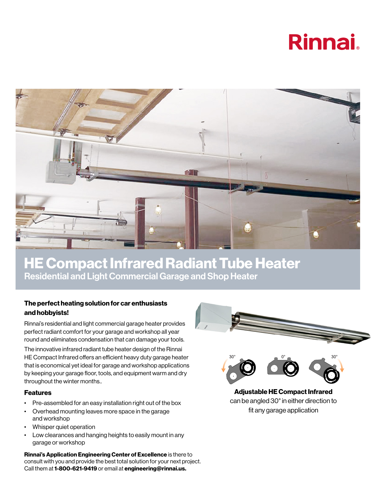# **Rinnai**



## HE Compact Infrared Radiant Tube Heater Residential and Light Commercial Garage and Shop Heater

### The perfect heating solution for car enthusiasts and hobbyists!

Rinnai's residential and light commercial garage heater provides perfect radiant comfort for your garage and workshop all year round and eliminates condensation that can damage your tools.

The innovative infrared radiant tube heater design of the Rinnai HE Compact Infrared offers an efficient heavy duty garage heater that is economical yet ideal for garage and workshop applications by keeping your garage floor, tools, and equipment warm and dry throughout the winter months..

#### Features

- Pre-assembled for an easy installation right out of the box
- Overhead mounting leaves more space in the garage and workshop
- Whisper quiet operation
- Low clearances and hanging heights to easily mount in any garage or workshop

Rinnai's Application Engineering Center of Excellence is there to consult with you and provide the best total solution for your next project. Call them at 1-800-621-9419 or email at engineering@rinnai.us.

![](_page_0_Picture_12.jpeg)

![](_page_0_Picture_13.jpeg)

Adjustable HE Compact Infrared can be angled 30° in either direction to fit any garage application